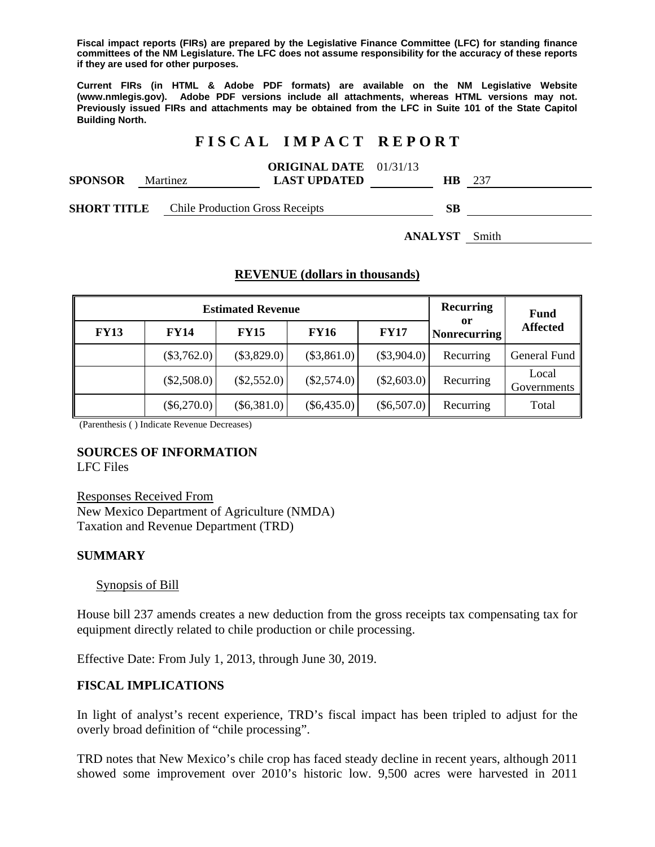**Fiscal impact reports (FIRs) are prepared by the Legislative Finance Committee (LFC) for standing finance committees of the NM Legislature. The LFC does not assume responsibility for the accuracy of these reports if they are used for other purposes.** 

**Current FIRs (in HTML & Adobe PDF formats) are available on the NM Legislative Website (www.nmlegis.gov). Adobe PDF versions include all attachments, whereas HTML versions may not. Previously issued FIRs and attachments may be obtained from the LFC in Suite 101 of the State Capitol Building North.**

# **F I S C A L I M P A C T R E P O R T**

| <b>SPONSOR</b>     |  | <b>Martinez</b>                        | <b>ORIGINAL DATE</b> 01/31/13<br><b>LAST UPDATED</b> | HB.       | -237 |
|--------------------|--|----------------------------------------|------------------------------------------------------|-----------|------|
| <b>SHORT TITLE</b> |  | <b>Chile Production Gross Receipts</b> |                                                      | <b>SB</b> |      |

**ANALYST** Smith

### **REVENUE (dollars in thousands)**

|             | <b>Estimated Revenue</b> | <b>Recurring</b> | <b>Fund</b>   |               |                           |                      |
|-------------|--------------------------|------------------|---------------|---------------|---------------------------|----------------------|
| <b>FY13</b> | <b>FY14</b>              | <b>FY15</b>      | <b>FY16</b>   | <b>FY17</b>   | or<br><b>Nonrecurring</b> | <b>Affected</b>      |
|             | $(\$3,762.0)$            | $(\$3,829.0)$    | $(\$3,861.0)$ | $(\$3,904.0)$ | Recurring                 | General Fund         |
|             | $(\$2,508.0)$            | $(\$2,552.0)$    | $(\$2,574.0)$ | $(\$2,603.0)$ | Recurring                 | Local<br>Governments |
|             | $(\$6,270.0)$            | $(\$6,381.0)$    | $(\$6,435.0)$ | $(\$6,507.0)$ | Recurring                 | Total                |

(Parenthesis ( ) Indicate Revenue Decreases)

#### **SOURCES OF INFORMATION**

LFC Files

Responses Received From New Mexico Department of Agriculture (NMDA) Taxation and Revenue Department (TRD)

## **SUMMARY**

#### Synopsis of Bill

House bill 237 amends creates a new deduction from the gross receipts tax compensating tax for equipment directly related to chile production or chile processing.

Effective Date: From July 1, 2013, through June 30, 2019.

#### **FISCAL IMPLICATIONS**

In light of analyst's recent experience, TRD's fiscal impact has been tripled to adjust for the overly broad definition of "chile processing".

TRD notes that New Mexico's chile crop has faced steady decline in recent years, although 2011 showed some improvement over 2010's historic low. 9,500 acres were harvested in 2011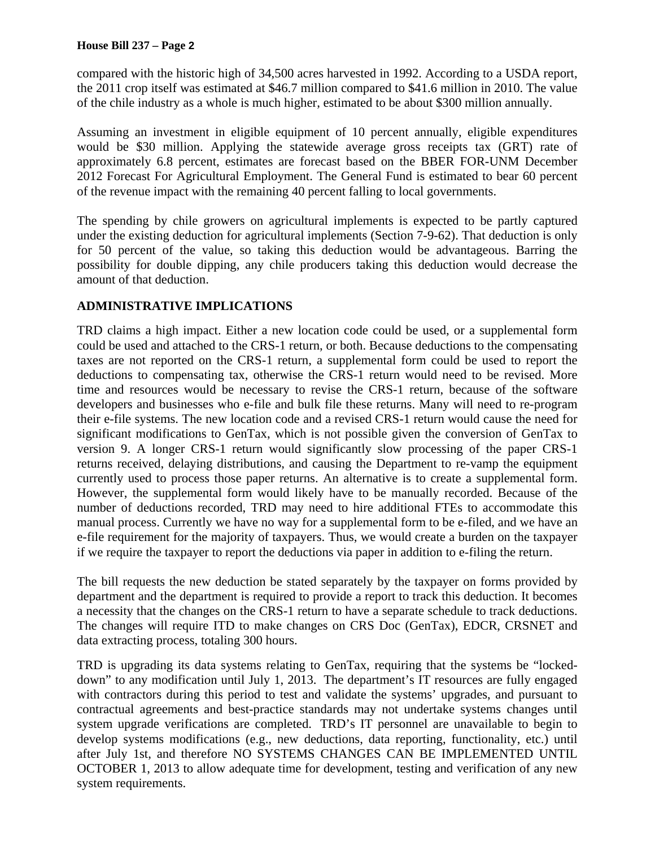compared with the historic high of 34,500 acres harvested in 1992. According to a USDA report, the 2011 crop itself was estimated at \$46.7 million compared to \$41.6 million in 2010. The value of the chile industry as a whole is much higher, estimated to be about \$300 million annually.

Assuming an investment in eligible equipment of 10 percent annually, eligible expenditures would be \$30 million. Applying the statewide average gross receipts tax (GRT) rate of approximately 6.8 percent, estimates are forecast based on the BBER FOR-UNM December 2012 Forecast For Agricultural Employment. The General Fund is estimated to bear 60 percent of the revenue impact with the remaining 40 percent falling to local governments.

The spending by chile growers on agricultural implements is expected to be partly captured under the existing deduction for agricultural implements (Section 7-9-62). That deduction is only for 50 percent of the value, so taking this deduction would be advantageous. Barring the possibility for double dipping, any chile producers taking this deduction would decrease the amount of that deduction.

## **ADMINISTRATIVE IMPLICATIONS**

TRD claims a high impact. Either a new location code could be used, or a supplemental form could be used and attached to the CRS-1 return, or both. Because deductions to the compensating taxes are not reported on the CRS-1 return, a supplemental form could be used to report the deductions to compensating tax, otherwise the CRS-1 return would need to be revised. More time and resources would be necessary to revise the CRS-1 return, because of the software developers and businesses who e-file and bulk file these returns. Many will need to re-program their e-file systems. The new location code and a revised CRS-1 return would cause the need for significant modifications to GenTax, which is not possible given the conversion of GenTax to version 9. A longer CRS-1 return would significantly slow processing of the paper CRS-1 returns received, delaying distributions, and causing the Department to re-vamp the equipment currently used to process those paper returns. An alternative is to create a supplemental form. However, the supplemental form would likely have to be manually recorded. Because of the number of deductions recorded, TRD may need to hire additional FTEs to accommodate this manual process. Currently we have no way for a supplemental form to be e-filed, and we have an e-file requirement for the majority of taxpayers. Thus, we would create a burden on the taxpayer if we require the taxpayer to report the deductions via paper in addition to e-filing the return.

The bill requests the new deduction be stated separately by the taxpayer on forms provided by department and the department is required to provide a report to track this deduction. It becomes a necessity that the changes on the CRS-1 return to have a separate schedule to track deductions. The changes will require ITD to make changes on CRS Doc (GenTax), EDCR, CRSNET and data extracting process, totaling 300 hours.

TRD is upgrading its data systems relating to GenTax, requiring that the systems be "lockeddown" to any modification until July 1, 2013. The department's IT resources are fully engaged with contractors during this period to test and validate the systems' upgrades, and pursuant to contractual agreements and best-practice standards may not undertake systems changes until system upgrade verifications are completed. TRD's IT personnel are unavailable to begin to develop systems modifications (e.g., new deductions, data reporting, functionality, etc.) until after July 1st, and therefore NO SYSTEMS CHANGES CAN BE IMPLEMENTED UNTIL OCTOBER 1, 2013 to allow adequate time for development, testing and verification of any new system requirements.